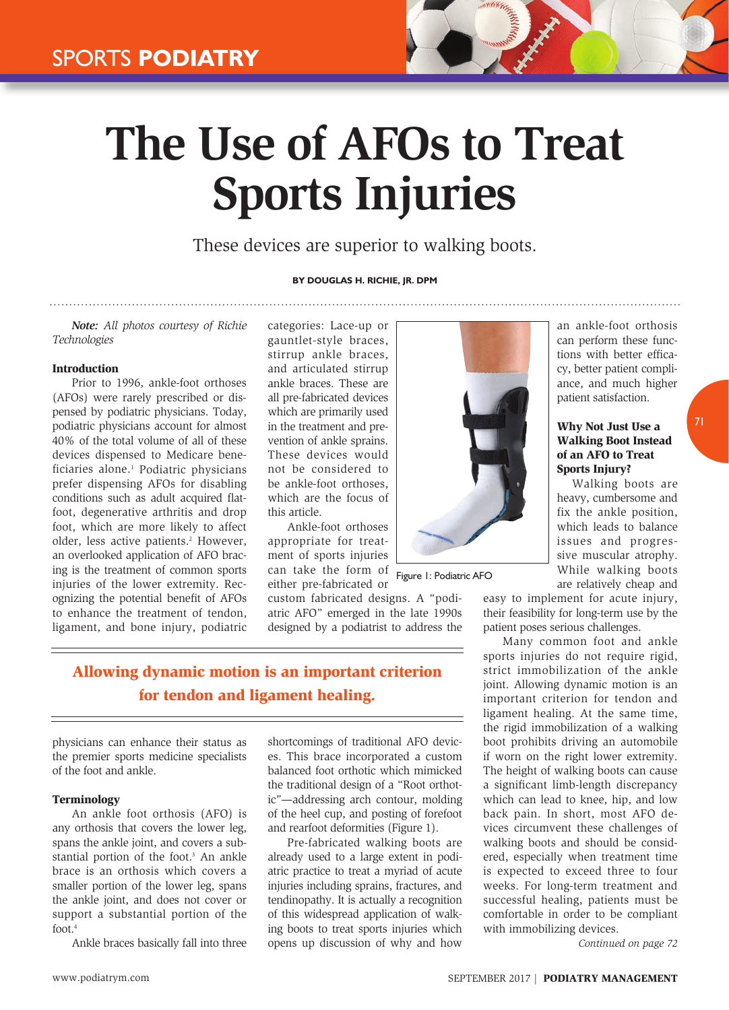# **The Use of AFOs to Treat Sports Injuries**

These devices are superior to walking boots.

# **By Douglas H. Richie, Jr. DPM**

*Note: All photos courtesy of Richie Technologies*

### Introduction

Prior to 1996, ankle-foot orthoses (AFOs) were rarely prescribed or dispensed by podiatric physicians. Today, podiatric physicians account for almost 40% of the total volume of all of these devices dispensed to Medicare beneficiaries alone.<sup>1</sup> Podiatric physicians prefer dispensing AFOs for disabling conditions such as adult acquired flatfoot, degenerative arthritis and drop foot, which are more likely to affect older, less active patients.<sup>2</sup> However, an overlooked application of AFO bracing is the treatment of common sports injuries of the lower extremity. Recognizing the potential benefit of AFOs to enhance the treatment of tendon, ligament, and bone injury, podiatric

categories: Lace-up or gauntlet-style braces, stirrup ankle braces, and articulated stirrup ankle braces. These are all pre-fabricated devices which are primarily used in the treatment and prevention of ankle sprains. These devices would not be considered to be ankle-foot orthoses which are the focus of this article.

Ankle-foot orthoses appropriate for treatment of sports injuries can take the form of either pre-fabricated or

custom fabricated designs. A "podiatric AFO" emerged in the late 1990s designed by a podiatrist to address the



Figure 1: Podiatric AFO

an ankle-foot orthosis can perform these functions with better efficacy, better patient compliance, and much higher patient satisfaction.

# Why Not Just Use a Walking Boot Instead of an AFO to Treat Sports Injury?

71

Walking boots are heavy, cumbersome and fix the ankle position, which leads to balance issues and progressive muscular atrophy. While walking boots are relatively cheap and

easy to implement for acute injury, their feasibility for long-term use by the patient poses serious challenges.

Many common foot and ankle sports injuries do not require rigid, strict immobilization of the ankle joint. Allowing dynamic motion is an important criterion for tendon and ligament healing. At the same time, the rigid immobilization of a walking boot prohibits driving an automobile if worn on the right lower extremity. The height of walking boots can cause a significant limb-length discrepancy which can lead to knee, hip, and low back pain. In short, most AFO devices circumvent these challenges of walking boots and should be considered, especially when treatment time is expected to exceed three to four weeks. For long-term treatment and successful healing, patients must be comfortable in order to be compliant with immobilizing devices.

*Continued on page 72*

Allowing dynamic motion is an important criterion for tendon and ligament healing.

physicians can enhance their status as the premier sports medicine specialists of the foot and ankle.

# Terminology

An ankle foot orthosis (AFO) is any orthosis that covers the lower leg, spans the ankle joint, and covers a substantial portion of the foot.<sup>3</sup> An ankle brace is an orthosis which covers a smaller portion of the lower leg, spans the ankle joint, and does not cover or support a substantial portion of the foot.4

Ankle braces basically fall into three

shortcomings of traditional AFO devices. This brace incorporated a custom balanced foot orthotic which mimicked the traditional design of a "Root orthotic"—addressing arch contour, molding of the heel cup, and posting of forefoot and rearfoot deformities (Figure 1).

Pre-fabricated walking boots are already used to a large extent in podiatric practice to treat a myriad of acute injuries including sprains, fractures, and tendinopathy. It is actually a recognition of this widespread application of walking boots to treat sports injuries which opens up discussion of why and how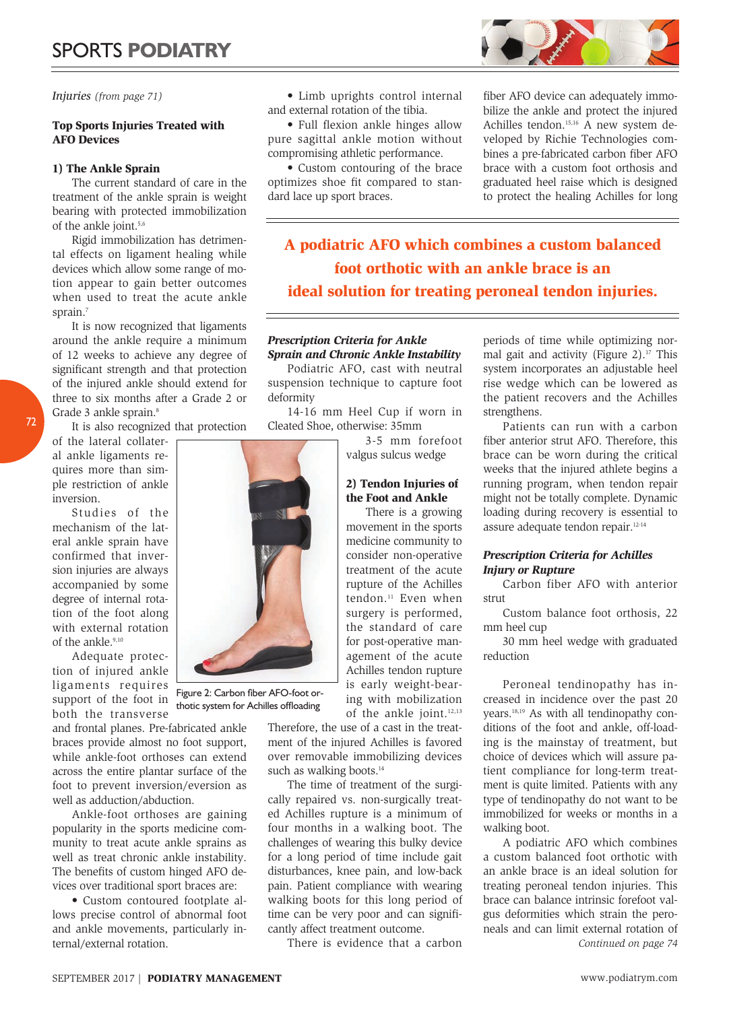*Injuries (from page 71)*

# Top Sports Injuries Treated with AFO Devices

# 1) The Ankle Sprain

The current standard of care in the treatment of the ankle sprain is weight bearing with protected immobilization of the ankle joint.<sup>5,6</sup>

Rigid immobilization has detrimental effects on ligament healing while devices which allow some range of motion appear to gain better outcomes when used to treat the acute ankle sprain.<sup>7</sup>

It is now recognized that ligaments around the ankle require a minimum of 12 weeks to achieve any degree of significant strength and that protection of the injured ankle should extend for three to six months after a Grade 2 or Grade 3 ankle sprain.<sup>8</sup>

It is also recognized that protection

of the lateral collateral ankle ligaments requires more than simple restriction of ankle inversion.

72

Studies of the mechanism of the lateral ankle sprain have confirmed that inversion injuries are always accompanied by some degree of internal rotation of the foot along with external rotation of the ankle.<sup>9,10</sup>

Adequate protection of injured ankle ligaments requires support of the foot in both the transverse

and frontal planes. Pre-fabricated ankle braces provide almost no foot support, while ankle-foot orthoses can extend across the entire plantar surface of the foot to prevent inversion/eversion as well as adduction/abduction.

Ankle-foot orthoses are gaining popularity in the sports medicine community to treat acute ankle sprains as well as treat chronic ankle instability. The benefits of custom hinged AFO devices over traditional sport braces are:

 • Custom contoured footplate allows precise control of abnormal foot and ankle movements, particularly internal/external rotation.

 • Limb uprights control internal and external rotation of the tibia.

• Full flexion ankle hinges allow pure sagittal ankle motion without compromising athletic performance.

 • Custom contouring of the brace optimizes shoe fit compared to standard lace up sport braces.

fiber AFO device can adequately immobilize the ankle and protect the injured Achilles tendon.15,16 A new system developed by Richie Technologies combines a pre-fabricated carbon fiber AFO brace with a custom foot orthosis and graduated heel raise which is designed to protect the healing Achilles for long

A podiatric AFO which combines a custom balanced foot orthotic with an ankle brace is an ideal solution for treating peroneal tendon injuries.

# *Prescription Criteria for Ankle Sprain and Chronic Ankle Instability*

Podiatric AFO, cast with neutral suspension technique to capture foot deformity

14-16 mm Heel Cup if worn in Cleated Shoe, otherwise: 35mm

3-5 mm forefoot valgus sulcus wedge

# 2) Tendon Injuries of the Foot and Ankle

There is a growing movement in the sports medicine community to consider non-operative treatment of the acute rupture of the Achilles tendon.<sup>11</sup> Even when surgery is performed, the standard of care for post-operative management of the acute Achilles tendon rupture is early weight-bearing with mobilization of the ankle joint.12,13

Therefore, the use of a cast in the treatment of the injured Achilles is favored over removable immobilizing devices such as walking boots.<sup>14</sup>

The time of treatment of the surgically repaired vs. non-surgically treated Achilles rupture is a minimum of four months in a walking boot. The challenges of wearing this bulky device for a long period of time include gait disturbances, knee pain, and low-back pain. Patient compliance with wearing walking boots for this long period of time can be very poor and can significantly affect treatment outcome.

There is evidence that a carbon

periods of time while optimizing normal gait and activity (Figure 2).<sup>17</sup> This system incorporates an adjustable heel rise wedge which can be lowered as the patient recovers and the Achilles strengthens.

Patients can run with a carbon fiber anterior strut AFO. Therefore, this brace can be worn during the critical weeks that the injured athlete begins a running program, when tendon repair might not be totally complete. Dynamic loading during recovery is essential to assure adequate tendon repair.12-14

# *Prescription Criteria for Achilles Injury or Rupture*

Carbon fiber AFO with anterior strut

Custom balance foot orthosis, 22 mm heel cup

30 mm heel wedge with graduated reduction

Peroneal tendinopathy has increased in incidence over the past 20 years.18,19 As with all tendinopathy conditions of the foot and ankle, off-loading is the mainstay of treatment, but choice of devices which will assure patient compliance for long-term treatment is quite limited. Patients with any type of tendinopathy do not want to be immobilized for weeks or months in a walking boot.

A podiatric AFO which combines a custom balanced foot orthotic with an ankle brace is an ideal solution for treating peroneal tendon injuries. This brace can balance intrinsic forefoot valgus deformities which strain the peroneals and can limit external rotation of *Continued on page 74*



thotic system for Achilles offloading

Figure 2: Carbon fiber AFO-foot or-

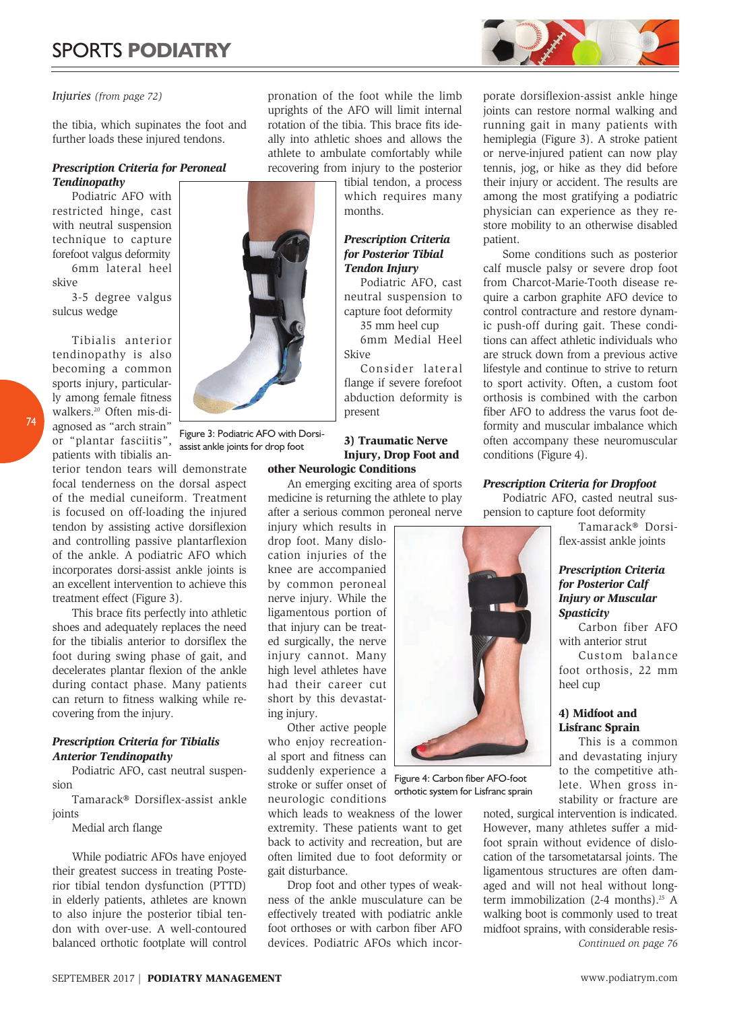# *Injuries (from page 72)*

the tibia, which supinates the foot and further loads these injured tendons.

# *Prescription Criteria for Peroneal Tendinopathy*

Podiatric AFO with restricted hinge, cast with neutral suspension technique to capture forefoot valgus deformity 6mm lateral heel skive

3-5 degree valgus sulcus wedge

Tibialis anterior tendinopathy is also becoming a common sports injury, particularly among female fitness walkers.20 Often mis-diagnosed as "arch strain" or "plantar fasciitis", patients with tibialis an-

74

terior tendon tears will demonstrate focal tenderness on the dorsal aspect of the medial cuneiform. Treatment is focused on off-loading the injured tendon by assisting active dorsiflexion and controlling passive plantarflexion of the ankle. A podiatric AFO which incorporates dorsi-assist ankle joints is an excellent intervention to achieve this treatment effect (Figure 3).

This brace fits perfectly into athletic shoes and adequately replaces the need for the tibialis anterior to dorsiflex the foot during swing phase of gait, and decelerates plantar flexion of the ankle during contact phase. Many patients can return to fitness walking while recovering from the injury.

# *Prescription Criteria for Tibialis Anterior Tendinopathy*

Podiatric AFO, cast neutral suspension

Tamarack® Dorsiflex-assist ankle joints

Medial arch flange

While podiatric AFOs have enjoyed their greatest success in treating Posterior tibial tendon dysfunction (PTTD) in elderly patients, athletes are known to also injure the posterior tibial tendon with over-use. A well-contoured balanced orthotic footplate will control

pronation of the foot while the limb uprights of the AFO will limit internal rotation of the tibia. This brace fits ideally into athletic shoes and allows the athlete to ambulate comfortably while recovering from injury to the posterior

> tibial tendon, a process which requires many months.

# *Prescription Criteria for Posterior Tibial Tendon Injury*

Podiatric AFO, cast neutral suspension to capture foot deformity

35 mm heel cup 6mm Medial Heel Skive

Consider lateral flange if severe forefoot abduction deformity is present

# 3) Traumatic Nerve Injury, Drop Foot and

# other Neurologic Conditions

An emerging exciting area of sports medicine is returning the athlete to play after a serious common peroneal nerve

injury which results in drop foot. Many dislocation injuries of the knee are accompanied by common peroneal nerve injury. While the ligamentous portion of that injury can be treated surgically, the nerve injury cannot. Many high level athletes have had their career cut short by this devastating injury.

Other active people who enjoy recreational sport and fitness can suddenly experience a stroke or suffer onset of neurologic conditions

which leads to weakness of the lower extremity. These patients want to get back to activity and recreation, but are often limited due to foot deformity or gait disturbance.

Drop foot and other types of weakness of the ankle musculature can be effectively treated with podiatric ankle foot orthoses or with carbon fiber AFO devices. Podiatric AFOs which incor-



Some conditions such as posterior calf muscle palsy or severe drop foot from Charcot-Marie-Tooth disease require a carbon graphite AFO device to control contracture and restore dynamic push-off during gait. These conditions can affect athletic individuals who are struck down from a previous active lifestyle and continue to strive to return to sport activity. Often, a custom foot orthosis is combined with the carbon fiber AFO to address the varus foot deformity and muscular imbalance which often accompany these neuromuscular conditions (Figure 4).

# *Prescription Criteria for Dropfoot*

Podiatric AFO, casted neutral suspension to capture foot deformity

Tamarack® Dorsiflex-assist ankle joints

# *Prescription Criteria for Posterior Calf Injury or Muscular Spasticity*

Carbon fiber AFO with anterior strut

Custom balance foot orthosis, 22 mm heel cup

# 4) Midfoot and Lisfranc Sprain

This is a common and devastating injury to the competitive athlete. When gross instability or fracture are

noted, surgical intervention is indicated. However, many athletes suffer a midfoot sprain without evidence of dislocation of the tarsometatarsal joints. The ligamentous structures are often damaged and will not heal without longterm immobilization  $(2-4$  months).<sup>25</sup> A walking boot is commonly used to treat midfoot sprains, with considerable resis-*Continued on page 76*



Figure 3: Podiatric AFO with Dorsiassist ankle joints for drop foot



Figure 4: Carbon fiber AFO-foot orthotic system for Lisfranc sprain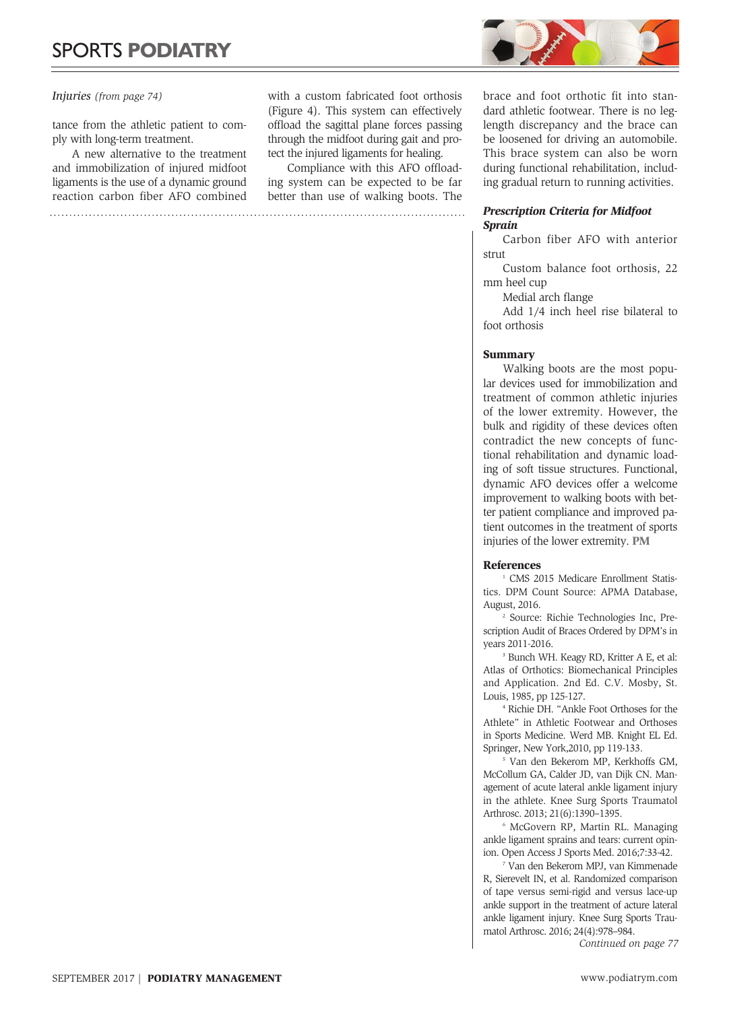# *Injuries (from page 74)*

tance from the athletic patient to comply with long-term treatment.

A new alternative to the treatment and immobilization of injured midfoot ligaments is the use of a dynamic ground reaction carbon fiber AFO combined

with a custom fabricated foot orthosis (Figure 4). This system can effectively offload the sagittal plane forces passing through the midfoot during gait and protect the injured ligaments for healing.

Compliance with this AFO offloading system can be expected to be far better than use of walking boots. The



brace and foot orthotic fit into standard athletic footwear. There is no leglength discrepancy and the brace can be loosened for driving an automobile. This brace system can also be worn during functional rehabilitation, including gradual return to running activities.

# *Prescription Criteria for Midfoot Sprain*

Carbon fiber AFO with anterior strut

Custom balance foot orthosis, 22 mm heel cup

Medial arch flange

Add 1/4 inch heel rise bilateral to foot orthosis

# **Summary**

Walking boots are the most popular devices used for immobilization and treatment of common athletic injuries of the lower extremity. However, the bulk and rigidity of these devices often contradict the new concepts of functional rehabilitation and dynamic loading of soft tissue structures. Functional, dynamic AFO devices offer a welcome improvement to walking boots with better patient compliance and improved patient outcomes in the treatment of sports injuries of the lower extremity. PM

#### References

<sup>1</sup> CMS 2015 Medicare Enrollment Statistics. DPM Count Source: APMA Database, August, 2016.

2 Source: Richie Technologies Inc, Prescription Audit of Braces Ordered by DPM's in years 2011-2016.

3 Bunch WH. Keagy RD, Kritter A E, et al: Atlas of Orthotics: Biomechanical Principles and Application. 2nd Ed. C.V. Mosby, St. Louis, 1985, pp 125-127.

4 Richie DH. "Ankle Foot Orthoses for the Athlete" in Athletic Footwear and Orthoses in Sports Medicine. Werd MB. Knight EL Ed. Springer, New York,2010, pp 119-133.

5 Van den Bekerom MP, Kerkhoffs GM, McCollum GA, Calder JD, van Dijk CN. Management of acute lateral ankle ligament injury in the athlete. Knee Surg Sports Traumatol Arthrosc. 2013; 21(6):1390–1395.

6 McGovern RP, Martin RL. Managing ankle ligament sprains and tears: current opinion. Open Access J Sports Med. 2016;7:33-42.

7 Van den Bekerom MPJ, van Kimmenade R, Sierevelt IN, et al. Randomized comparison of tape versus semi-rigid and versus lace-up ankle support in the treatment of acture lateral ankle ligament injury. Knee Surg Sports Traumatol Arthrosc. 2016; 24(4):978–984.

*Continued on page 77*